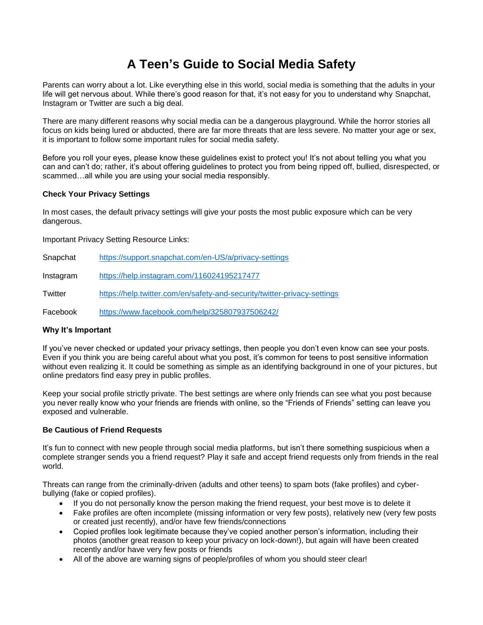# **A Teen's Guide to Social Media Safety**

Parents can worry about a lot. Like everything else in this world, social media is something that the adults in your life will get nervous about. While there's good reason for that, it's not easy for you to understand why Snapchat, Instagram or Twitter are such a big deal.

There are many different reasons why social media can be a dangerous playground. While the horror stories all focus on kids being lured or abducted, there are far more threats that are less severe. No matter your age or sex, it is important to follow some important rules for social media safety.

Before you roll your eyes, please know these guidelines exist to protect you! It's not about telling you what you can and can't do; rather, it's about offering guidelines to protect you from being ripped off, bullied, disrespected, or scammed…all while you are using your social media responsibly.

### **Check Your Privacy Settings**

In most cases, the default privacy settings will give your posts the most public exposure which can be very dangerous.

Important Privacy Setting Resource Links:

| Snapchat  | https://support.snapchat.com/en-US/a/privacy-settings                    |
|-----------|--------------------------------------------------------------------------|
| Instagram | https://help.instagram.com/116024195217477                               |
| Twitter   | https://help.twitter.com/en/safety-and-security/twitter-privacy-settings |
| Facebook  | https://www.facebook.com/help/325807937506242/                           |

# **Why It's Important**

If you've never checked or updated your privacy settings, then people you don't even know can see your posts. Even if you think you are being careful about what you post, it's common for teens to post sensitive information without even realizing it. It could be something as simple as an identifying background in one of your pictures, but online predators find easy prey in public profiles.

Keep your social profile strictly private. The best settings are where only friends can see what you post because you never really know who your friends are friends with online, so the "Friends of Friends" setting can leave you exposed and vulnerable.

### **Be Cautious of Friend Requests**

It's fun to connect with new people through social media platforms, but isn't there something suspicious when a complete stranger sends you a friend request? Play it safe and accept friend requests only from friends in the real world.

Threats can range from the criminally-driven (adults and other teens) to spam bots (fake profiles) and cyberbullying (fake or copied profiles).

- If you do not personally know the person making the friend request, your best move is to delete it
- Fake profiles are often incomplete (missing information or very few posts), relatively new (very few posts or created just recently), and/or have few friends/connections
- Copied profiles look legitimate because they've copied another person's information, including their photos (another great reason to keep your privacy on lock-down!), but again will have been created recently and/or have very few posts or friends
- All of the above are warning signs of people/profiles of whom you should steer clear!